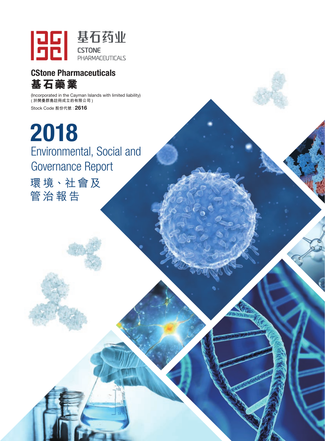

## CStone Pharmaceuticals **基石藥業**

(Incorporated in the Cayman Islands with limited liability) 、<br>(於開曼群島註冊成立的有限公司) Stock Code **股份代號 :** 2616

2018 Environmental, Social and Governance Report 環 境、社會及

管治報告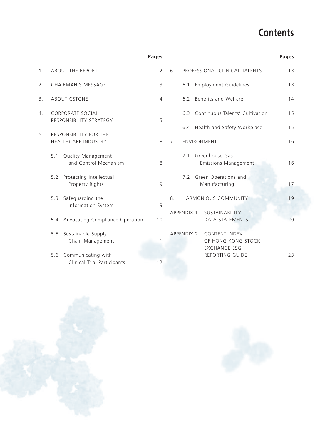# **Contents**

|                  |                                                          | <b>Pages</b>   | <b>Pages</b>                                                           |
|------------------|----------------------------------------------------------|----------------|------------------------------------------------------------------------|
| 1.               | <b>ABOUT THE REPORT</b>                                  | $\overline{2}$ | 6.<br>PROFESSIONAL CLINICAL TALENTS<br>13                              |
| 2.               | <b>CHAIRMAN'S MESSAGE</b>                                | $\mathsf{3}$   | <b>Employment Guidelines</b><br>6.1<br>13                              |
| $\mathbf{3}$ .   | <b>ABOUT CSTONE</b>                                      | $\overline{4}$ | Benefits and Welfare<br>14<br>6.2                                      |
| $\overline{4}$ . | CORPORATE SOCIAL<br>RESPONSIBILITY STRATEGY              | 5              | Continuous Talents' Cultivation<br>15<br>6.3                           |
|                  |                                                          |                | 6.4 Health and Safety Workplace<br>15                                  |
| 5.               | <b>RESPONSIBILITY FOR THE</b><br>HEALTHCARE INDUSTRY     | 8              | 7.<br><b>ENVIRONMENT</b><br>16                                         |
|                  | Quality Management<br>5.1<br>and Control Mechanism       | 8              | Greenhouse Gas<br>7.1<br>16<br><b>Emissions Management</b>             |
|                  | Protecting Intellectual<br>5.2<br>Property Rights        | 9              | Green Operations and<br>7.2<br>Manufacturing<br>17                     |
|                  | Safeguarding the<br>5.3<br>Information System            | 9              | HARMONIOUS COMMUNITY<br>19<br>8.                                       |
|                  | Advocating Compliance Operation<br>5.4                   | 10             | APPENDIX 1: SUSTAINABILITY<br><b>DATA STATEMENTS</b><br>20             |
|                  | Sustainable Supply<br>5.5<br>Chain Management            | 11             | APPENDIX 2: CONTENT INDEX<br>OF HONG KONG STOCK<br><b>EXCHANGE ESG</b> |
|                  | Communicating with<br>5.6<br>Clinical Trial Participants | 12             | REPORTING GUIDE<br>23                                                  |



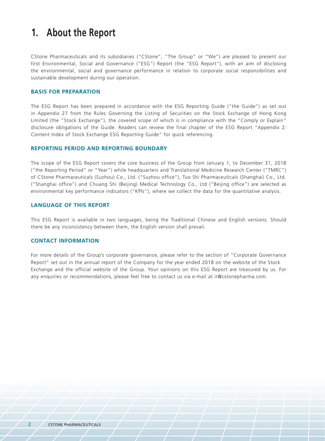## **1. About the Report**

CStone Pharmaceuticals and its subsidiaries ("CStone", "The Group" or "We") are pleased to present our first Environmental, Social and Governance ("ESG") Report (the "ESG Report"), with an aim of disclosing the environmental, social and governance performance in relation to corporate social responsibilities and sustainable development during our operation.

#### **Basis for Preparation**

The ESG Report has been prepared in accordance with the ESG Reporting Guide ("the Guide") as set out in Appendix 27 from the Rules Governing the Listing of Securities on the Stock Exchange of Hong Kong Limited (the "Stock Exchange"), the covered scope of which is in compliance with the "Comply or Explain" disclosure obligations of the Guide. Readers can review the final chapter of the ESG Report "Appendix 2: Content Index of Stock Exchange ESG Reporting Guide" for quick referencing.

#### **Reporting Period and Reporting Boundary**

The scope of the ESG Report covers the core business of the Group from January 1, to December 31, 2018 ("the Reporting Period" or "Year") while headquarters and Translational Medicine Research Center ("TMRC") of CStone Pharmaceuticals (Suzhou) Co., Ltd. ("Suzhou office"), Tuo Shi Pharmaceuticals (Shanghai) Co., Ltd. ("Shanghai office") and Chuang Shi (Beijing) Medical Technology Co., Ltd ("Beijing office") are selected as environmental key performance indicators ("KPIs"), where we collect the data for the quantitative analysis.

#### **Language of this report**

This ESG Report is available in two languages, being the Traditional Chinese and English versions. Should there be any inconsistency between them, the English version shall prevail.

#### **Contact Information**

For more details of the Group's corporate governance, please refer to the section of "Corporate Governance Report" set out in the annual report of the Company for the year ended 2018 on the website of the Stock Exchange and the official website of the Group. Your opinions on this ESG Report are treasured by us. For any enquiries or recommendations, please feel free to contact us via e-mail at ir@cstonepharma.com.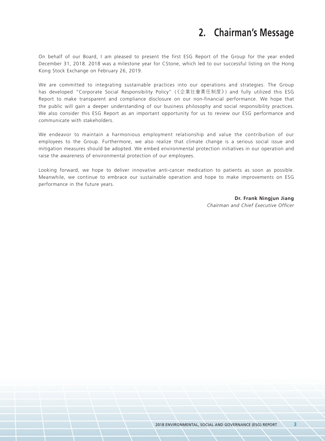## **2. Chairman's Message**

On behalf of our Board, I am pleased to present the first ESG Report of the Group for the year ended December 31, 2018. 2018 was a milestone year for CStone, which led to our successful listing on the Hong Kong Stock Exchange on February 26, 2019.

We are committed to integrating sustainable practices into our operations and strategies. The Group has developed "Corporate Social Responsibility Policy" (《企業社會責任制度》) and fully utilized this ESG Report to make transparent and compliance disclosure on our non-financial performance. We hope that the public will gain a deeper understanding of our business philosophy and social responsibility practices. We also consider this ESG Report as an important opportunity for us to review our ESG performance and communicate with stakeholders.

We endeavor to maintain a harmonious employment relationship and value the contribution of our employees to the Group. Furthermore, we also realize that climate change is a serious social issue and mitigation measures should be adopted. We embed environmental protection initiatives in our operation and raise the awareness of environmental protection of our employees.

Looking forward, we hope to deliver innovative anti-cancer medication to patients as soon as possible. Meanwhile, we continue to embrace our sustainable operation and hope to make improvements on ESG performance in the future years.

> **Dr. Frank Ningjun Jiang** *Chairman and Chief Executive Officer*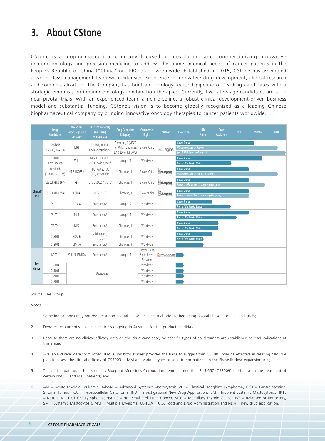## **3. About CStone**

CStone is a biopharmaceutical company focused on developing and commercializing innovative immuno-oncology and precision medicine to address the unmet medical needs of cancer patients in the People's Republic of China ("China" or "PRC") and worldwide. Established in 2015, CStone has assembled a world-class management team with extensive experience in innovative drug development, clinical research and commercialization. The Company has built an oncology-focused pipeline of 15 drug candidates with a strategic emphasis on immuno-oncology combination therapies. Currently, five late-stage candidates are at or near pivotal trials. With an experienced team, a rich pipeline, a robust clinical development-driven business model and substantial funding, CStone's vision is to become globally recognized as a leading Chinese biopharmaceutical company by bringing innovative oncology therapies to cancer patients worldwide.

|                         | <b>Drug</b><br>Candidate         | <b>Molecular</b><br><b>Target/Signaling</b><br>Pathway | <b>Lead Indication(s)</b><br>and Line(s)<br>of Therapies | <b>Drug Candidate</b><br>Category                                     | Commercial<br><b>Rights</b> | <b>Partner</b>             | Pre-clinical                                                                       | <b>IND</b><br>Filing | Dose<br><b>Escalation</b> | POC | <b>Pivotal</b> | <b>NDA</b> |
|-------------------------|----------------------------------|--------------------------------------------------------|----------------------------------------------------------|-----------------------------------------------------------------------|-----------------------------|----------------------------|------------------------------------------------------------------------------------|----------------------|---------------------------|-----|----------------|------------|
|                         | ivosidenib<br>(CS3010, AG-120)   | IDH1                                                   | R/R AML, 1L AML,<br>Cholangiocarcinoma                   | Chemicals, 1 (MRCT<br>for AGILE); Chemicals,<br>5.1 (IND for R/R AML) | Greater China               | -c agios                   | <b>China Status</b><br>NDA submission in Taiwan<br>$\star$ US FDA Approved (Agios) |                      |                           |     |                |            |
|                         | CS1001<br>(Core Product)         | PD-L1                                                  | R/R cHL, R/R NKTL,<br>NSCLC, Solid tumors <sup>3</sup>   | Biologics, 1                                                          | Worldwide                   |                            | <b>China Status</b><br><b>Rest of the World Status</b>                             |                      |                           |     |                |            |
|                         | avapritinib<br>(CS3007, BLU-285) | KIT & PDGFR a                                          | PDGFR a / 2L / 3L<br>GIST, AdvSM, ISM                    | Chemicals, 1                                                          | Greater China               | Golvegnini.                | <b>China Status</b><br><b>NDA</b> submission in the US (Blueprint)                 |                      |                           |     |                |            |
|                         | CS3009 (BLU-667)                 | RET                                                    | 1L / 2L NSCLC, 1L MTC <sup>5</sup>                       | Chemicals, 1                                                          | Greater China               | blueprint.                 | <b>China Status</b><br>Phase Ib trial in the US ongoing (Blueprint)                |                      |                           |     |                |            |
| Clinical/<br><b>IND</b> | CS3008 (BLU-554)                 | FGFR4                                                  | 1L / 2L HCC                                              | Chemicals, 1                                                          | Greater China               | blueprint.                 | China Status<br>Phase Ib trial in the US ongoing (Blueprint)                       |                      |                           |     |                |            |
|                         | CS1002 <sup>2</sup>              | CTLA-4                                                 | Solid tumors <sup>3</sup>                                | Biologics, 2                                                          | Worldwide                   |                            | China Status<br><b>Rest of the World Status</b>                                    |                      |                           |     |                |            |
|                         | CS1003 <sup>2</sup>              | PD-1                                                   | Solid tumors <sup>3</sup>                                | Biologics, 1                                                          | Worldwide                   |                            | China Status<br><b>Rest of the World Status</b>                                    |                      |                           |     |                |            |
|                         | CS3006 <sup>2</sup>              | MEK                                                    | Solid tumors <sup>3</sup>                                | Chemicals, 1                                                          | Worldwide                   |                            | China Status<br><b>Rest of the World Status</b>                                    |                      |                           |     |                |            |
|                         | CS3003                           | HDAC6                                                  | Solid tumors <sup>3</sup> ,<br>R/R MM <sup>4</sup>       | Chemicals, 1                                                          | Worldwide                   |                            | China Status<br>Rest of the World Status                                           |                      |                           |     |                |            |
|                         | CS3002                           | CDK4/6                                                 | Solid tumors <sup>3</sup>                                | Chemicals, 1                                                          | Worldwide                   |                            |                                                                                    |                      |                           |     |                |            |
|                         |                                  |                                                        |                                                          |                                                                       | Greater China.              |                            |                                                                                    |                      |                           |     |                |            |
|                         | ND021                            | PD-L1/4-1BB/HSA                                        | Solid tumors <sup>3</sup>                                | Biologics, 1                                                          | South Korea,                | <b><i><u>@UMVE</u></i></b> |                                                                                    |                      |                           |     |                |            |
| Pre-                    |                                  |                                                        |                                                          |                                                                       | Singapore                   |                            |                                                                                    |                      |                           |     |                |            |
| clinical                | CS3004                           |                                                        |                                                          |                                                                       | Worldwide                   |                            |                                                                                    |                      |                           |     |                |            |
|                         | CS1009                           |                                                        | Undisclosed                                              |                                                                       | Worldwide                   |                            |                                                                                    |                      |                           |     |                |            |
|                         | CS3005                           |                                                        |                                                          |                                                                       | Worldwide                   |                            |                                                                                    |                      |                           |     |                |            |
|                         | CS2004                           |                                                        |                                                          |                                                                       | Worldwide                   |                            |                                                                                    |                      |                           |     |                |            |

#### Source: The Group

*Notes*

- 1. Some indication(s) may not require a non-pivotal Phase II clinical trial prior to beginning pivotal Phase II or III clinical trials;
- 2. Denotes we currently have clinical trials ongoing in Australia for the product candidate;
- 3. Because there are no clinical efficacy data on the drug candidate, no specific types of solid tumors are established as lead indications at this stage;
- 4. Available clinical data from other HDAC6 inhibitor studies provides the basis to suggest that CS3003 may be effective in treating MM; we plan to assess the clinical efficacy of CS3003 in MM and various types of solid tumor patients in the Phase Ib dose expansion trial;
- 5. The clinical data published so far by Blueprint Medicines Corporation demonstrated that BLU-667 (CS3009) is effective in the treatment of certain NSCLC and MTC patients; and
- 6. AML= Acute Myeloid Leukemia, AdvSM = Advanced Systemic Mastocytosis, cHL= Classical Hodgkin's Lymphoma, GIST = Gastrointestinal Stromal Tumor, HCC = Hepatocellular Carcinoma, IND = Investigational New Drug Application, ISM = Indolent Systemic Mastocytosis, NKTL = Natural KILLER/T Cell Lymphoma, NSCLC = Non-small Cell Lung Cancer, MTC = Medullary Thyroid Cancer, R/R = Relapsed or Refractory, SM = Systemic Mastocytosis, MM = Multiple Myeloma, US FDA = U.S. Food and Drug Administration and NDA = new drug application.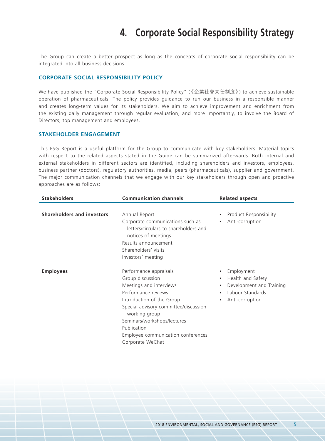## **4. Corporate Social Responsibility Strategy**

The Group can create a better prospect as long as the concepts of corporate social responsibility can be integrated into all business decisions.

#### **Corporate Social Responsibility Policy**

We have published the "Corporate Social Responsibility Policy" (《企業社會責任制度》) to achieve sustainable operation of pharmaceuticals. The policy provides guidance to run our business in a responsible manner and creates long-term values for its stakeholders. We aim to achieve improvement and enrichment from the existing daily management through regular evaluation, and more importantly, to involve the Board of Directors, top management and employees.

#### **Stakeholder Engagement**

This ESG Report is a useful platform for the Group to communicate with key stakeholders. Material topics with respect to the related aspects stated in the Guide can be summarized afterwards. Both internal and external stakeholders in different sectors are identified, including shareholders and investors, employees, business partner (doctors), regulatory authorities, media, peers (pharmaceuticals), supplier and government. The major communication channels that we engage with our key stakeholders through open and proactive approaches are as follows:

| <b>Stakeholders</b>               | <b>Communication channels</b>                                                                                                                                                                                                                                                               | <b>Related aspects</b>                                                                                                                                              |  |  |
|-----------------------------------|---------------------------------------------------------------------------------------------------------------------------------------------------------------------------------------------------------------------------------------------------------------------------------------------|---------------------------------------------------------------------------------------------------------------------------------------------------------------------|--|--|
|                                   |                                                                                                                                                                                                                                                                                             |                                                                                                                                                                     |  |  |
| <b>Shareholders and investors</b> | Annual Report<br>Corporate communications such as<br>letters/circulars to shareholders and<br>notices of meetings<br>Results announcement<br>Shareholders' visits<br>Investors' meeting                                                                                                     | Product Responsibility<br>$\bullet$<br>Anti-corruption<br>$\bullet$                                                                                                 |  |  |
| <b>Employees</b>                  | Performance appraisals<br>Group discussion<br>Meetings and interviews<br>Performance reviews<br>Introduction of the Group<br>Special advisory committee/discussion<br>working group<br>Seminars/workshops/lectures<br>Publication<br>Employee communication conferences<br>Corporate WeChat | Employment<br>$\bullet$<br>Health and Safety<br>$\bullet$<br>Development and Training<br>$\bullet$<br>Labour Standards<br>$\bullet$<br>Anti-corruption<br>$\bullet$ |  |  |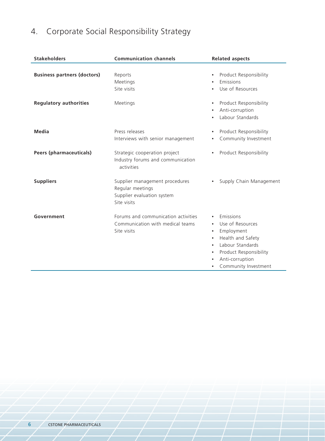# 4. Corporate Social Responsibility Strategy

| <b>Stakeholders</b>                | <b>Communication channels</b>                                                                   | <b>Related aspects</b>                                                                                                                                                                                                                  |
|------------------------------------|-------------------------------------------------------------------------------------------------|-----------------------------------------------------------------------------------------------------------------------------------------------------------------------------------------------------------------------------------------|
| <b>Business partners (doctors)</b> | Reports<br>Meetings<br>Site visits                                                              | Product Responsibility<br>$\bullet$<br>Emissions<br>$\bullet$<br>Use of Resources<br>$\bullet$                                                                                                                                          |
| <b>Regulatory authorities</b>      | Meetings                                                                                        | Product Responsibility<br>$\bullet$<br>Anti-corruption<br>$\bullet$<br>Labour Standards<br>$\bullet$                                                                                                                                    |
| <b>Media</b>                       | Press releases<br>Interviews with senior management                                             | Product Responsibility<br>$\bullet$<br>Community Investment<br>$\bullet$                                                                                                                                                                |
| <b>Peers (pharmaceuticals)</b>     | Strategic cooperation project<br>Industry forums and communication<br>activities                | Product Responsibility<br>$\bullet$                                                                                                                                                                                                     |
| <b>Suppliers</b>                   | Supplier management procedures<br>Regular meetings<br>Supplier evaluation system<br>Site visits | Supply Chain Management<br>$\bullet$                                                                                                                                                                                                    |
| Government                         | Forums and communication activities<br>Communication with medical teams<br>Site visits          | Emissions<br>$\bullet$<br>Use of Resources<br>Employment<br>$\bullet$<br>Health and Safety<br>$\bullet$<br>Labour Standards<br>$\bullet$<br>Product Responsibility<br>$\bullet$<br>Anti-corruption<br>Community Investment<br>$\bullet$ |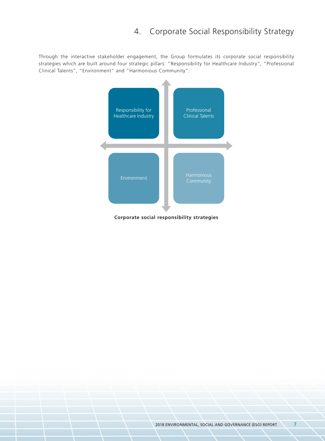### 4. Corporate Social Responsibility Strategy

Through the interactive stakeholder engagement, the Group formulates its corporate social responsibility strategies which are built around four strategic pillars: "Responsibility for Healthcare Industry", "Professional Clinical Talents", "Environment" and "Harmonious Community".



**Corporate social responsibility strategies**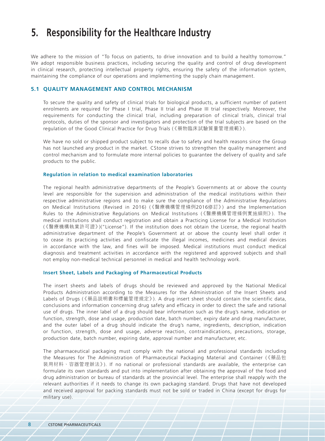We adhere to the mission of "To focus on patients, to drive innovation and to build a healthy tomorrow." We adopt responsible business practices, including securing the quality and control of drug development in clinical research, protecting intellectual property rights, ensuring the safety of the information system, maintaining the compliance of our operations and implementing the supply chain management.

#### **5.1 Quality Management and Control Mechanism**

To secure the quality and safety of clinical trials for biological products, a sufficient number of patient enrolments are required for Phase I trial, Phase II trial and Phase III trial respectively. Moreover, the requirements for conducting the clinical trial, including preparation of clinical trials, clinical trial protocols, duties of the sponsor and investigators and protection of the trial subjects are based on the regulation of the Good Clinical Practice for Drug Trials (《藥物臨床試驗質量管理規範》).

We have no sold or shipped product subject to recalls due to safety and health reasons since the Group has not launched any product in the market. CStone strives to strengthen the quality management and control mechanism and to formulate more internal policies to guarantee the delivery of quality and safe products to the public.

#### **Regulation in relation to medical examination laboratories**

The regional health administrative departments of the People's Governments at or above the county level are responsible for the supervision and administration of the medical institutions within their respective administrative regions and to make sure the compliance of the Administrative Regulations on Medical Institutions (Revised in 2016) (《醫療機構管理條例2016修訂》) and the Implementation Rules to the Administrative Regulations on Medical Institutions (《醫療機構管理條例實施細則》). The medical institutions shall conduct registration and obtain a Practicing License for a Medical Institution (《醫療機構執業許可證》)("License"). If the institution does not obtain the License, the regional health administrative department of the People's Government at or above the county level shall order it to cease its practicing activities and confiscate the illegal incomes, medicines and medical devices in accordance with the law, and fines will be imposed. Medical institutions must conduct medical diagnosis and treatment activities in accordance with the registered and approved subjects and shall not employ non-medical technical personnel in medical and health technology work.

#### **Insert Sheet, Labels and Packaging of Pharmaceutical Products**

The insert sheets and labels of drugs should be reviewed and approved by the National Medical Products Administration according to the Measures for the Administration of the Insert Sheets and Labels of Drugs (《藥品說明書和標籤管理規定》). A drug insert sheet should contain the scientific data, conclusions and information concerning drug safety and efficacy in order to direct the safe and rational use of drugs. The inner label of a drug should bear information such as the drug's name, indication or function, strength, dose and usage, production date, batch number, expiry date and drug manufacturer, and the outer label of a drug should indicate the drug's name, ingredients, description, indication or function, strength, dose and usage, adverse reaction, contraindications, precautions, storage, production date, batch number, expiring date, approval number and manufacturer, etc.

The pharmaceutical packaging must comply with the national and professional standards including the Measures for The Administration of Pharmaceutical Packaging Material and Container (《藥品包 裝用材料、容器管理辦法》). If no national or professional standards are available, the enterprise can formulate its own standards and put into implementation after obtaining the approval of the food and drug administration or bureau of standards at the provincial level. The enterprise shall reapply with the relevant authorities if it needs to change its own packaging standard. Drugs that have not developed and received approval for packing standards must not be sold or traded in China (except for drugs for military use).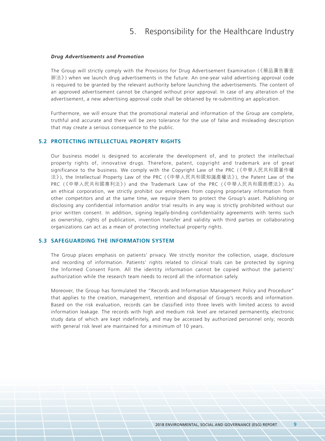#### *Drug Advertisements and Promotion*

The Group will strictly comply with the Provisions for Drug Advertisement Examination (《藥品廣告審查 辦法》) when we launch drug advertisements in the future. An one-year valid advertising approval code is required to be granted by the relevant authority before launching the advertisements. The content of an approved advertisement cannot be changed without prior approval. In case of any alteration of the advertisement, a new advertising approval code shall be obtained by re-submitting an application.

Furthermore, we will ensure that the promotional material and information of the Group are complete, truthful and accurate and there will be zero tolerance for the use of false and misleading description that may create a serious consequence to the public.

#### **5.2 Protecting Intellectual Property Rights**

Our business model is designed to accelerate the development of, and to protect the intellectual property rights of, innovative drugs. Therefore, patent, copyright and trademark are of great significance to the business. We comply with the Copyright Law of the PRC (《中華人民共和國著作權 法》), the Intellectual Property Law of the PRC (《中華人民共和國知識產權法》), the Patent Law of the PRC (《中華人民共和國專利法》) and the Trademark Law of the PRC (《中華人民共和國商標法》). As an ethical corporation, we strictly prohibit our employees from copying proprietary information from other competitors and at the same time, we require them to protect the Group's asset. Publishing or disclosing any confidential information and/or trial results in any way is strictly prohibited without our prior written consent. In addition, signing legally-binding confidentiality agreements with terms such as ownership, rights of publication, invention transfer and validity with third parties or collaborating organizations can act as a mean of protecting intellectual property rights.

#### **5.3 Safeguarding the Information System**

The Group places emphasis on patients' privacy. We strictly monitor the collection, usage, disclosure and recording of information. Patients' rights related to clinical trials can be protected by signing the Informed Consent Form. All the identity information cannot be copied without the patients' authorization while the research team needs to record all the information safely.

Moreover, the Group has formulated the "Records and Information Management Policy and Procedure" that applies to the creation, management, retention and disposal of Group's records and information. Based on the risk evaluation, records can be classified into three levels with limited access to avoid information leakage. The records with high and medium risk level are retained permanently, electronic study data of which are kept indefinitely, and may be accessed by authorized personnel only; records with general risk level are maintained for a minimum of 10 years.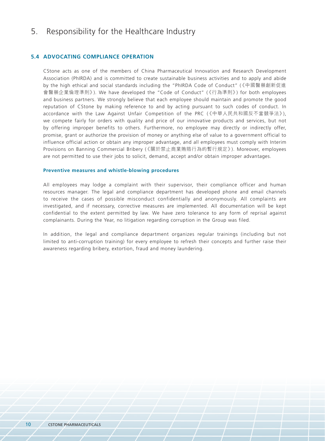#### **5.4 Advocating Compliance Operation**

CStone acts as one of the members of China Pharmaceutical Innovation and Research Development Association (PhIRDA) and is committed to create sustainable business activities and to apply and abide by the high ethical and social standards including the "PhIRDA Code of Conduct" (《中國醫藥創新促進 會醫藥企業倫理準則》). We have developed the "Code of Conduct" (《行為準則》) for both employees and business partners. We strongly believe that each employee should maintain and promote the good reputation of CStone by making reference to and by acting pursuant to such codes of conduct. In accordance with the Law Against Unfair Competition of the PRC (《中華人民共和國反不當競爭法》), we compete fairly for orders with quality and price of our innovative products and services, but not by offering improper benefits to others. Furthermore, no employee may directly or indirectly offer, promise, grant or authorize the provision of money or anything else of value to a government official to influence official action or obtain any improper advantage, and all employees must comply with Interim Provisions on Banning Commercial Bribery (《關於禁止商業賄賂行為的暫行規定》). Moreover, employees are not permitted to use their jobs to solicit, demand, accept and/or obtain improper advantages.

#### **Preventive measures and whistle-blowing procedures**

All employees may lodge a complaint with their supervisor, their compliance officer and human resources manager. The legal and compliance department has developed phone and email channels to receive the cases of possible misconduct confidentially and anonymously. All complaints are investigated, and if necessary, corrective measures are implemented. All documentation will be kept confidential to the extent permitted by law. We have zero tolerance to any form of reprisal against complainants. During the Year, no litigation regarding corruption in the Group was filed.

In addition, the legal and compliance department organizes regular trainings (including but not limited to anti-corruption training) for every employee to refresh their concepts and further raise their awareness regarding bribery, extortion, fraud and money laundering.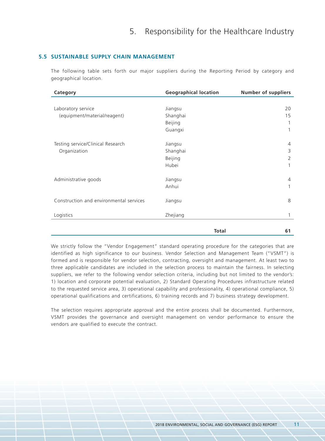#### **5.5 Sustainable Supply Chain Management**

The following table sets forth our major suppliers during the Reporting Period by category and geographical location.

| <b>Geographical location</b> | <b>Number of suppliers</b>     |
|------------------------------|--------------------------------|
|                              |                                |
| Jiangsu                      | 20                             |
| Shanghai                     | 15                             |
| Beijing                      | 1                              |
| Guangxi                      | 1                              |
|                              | 4                              |
|                              | 3                              |
|                              | 2                              |
| Hubei                        | 1                              |
|                              |                                |
| Jiangsu                      | $\overline{4}$                 |
| Anhui                        | 1                              |
| Jiangsu                      | 8                              |
| Zhejiang                     | 1                              |
| <b>Total</b>                 | 61                             |
|                              | Jiangsu<br>Shanghai<br>Beijing |

We strictly follow the "Vendor Engagement" standard operating procedure for the categories that are identified as high significance to our business. Vendor Selection and Management Team ("VSMT") is formed and is responsible for vendor selection, contracting, oversight and management. At least two to three applicable candidates are included in the selection process to maintain the fairness. In selecting suppliers, we refer to the following vendor selection criteria, including but not limited to the vendor's: 1) location and corporate potential evaluation, 2) Standard Operating Procedures infrastructure related to the requested service area, 3) operational capability and professionality, 4) operational compliance, 5) operational qualifications and certifications, 6) training records and 7) business strategy development.

The selection requires appropriate approval and the entire process shall be documented. Furthermore, VSMT provides the governance and oversight management on vendor performance to ensure the vendors are qualified to execute the contract.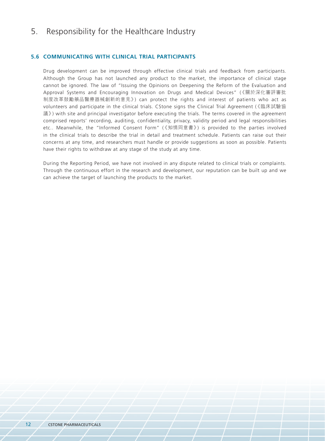#### **5.6 Communicating with Clinical Trial Participants**

Drug development can be improved through effective clinical trials and feedback from participants. Although the Group has not launched any product to the market, the importance of clinical stage cannot be ignored. The law of "Issuing the Opinions on Deepening the Reform of the Evaluation and Approval Systems and Encouraging Innovation on Drugs and Medical Devices" (《關於深化審評審批 制度改革鼓勵藥品醫療器械創新的意見》) can protect the rights and interest of patients who act as volunteers and participate in the clinical trials. CStone signs the Clinical Trial Agreement (《臨床試驗協 議》) with site and principal investigator before executing the trials. The terms covered in the agreement comprised reports' recording, auditing, confidentiality, privacy, validity period and legal responsibilities etc.. Meanwhile, the "Informed Consent Form" (《知情同意書》) is provided to the parties involved in the clinical trials to describe the trial in detail and treatment schedule. Patients can raise out their concerns at any time, and researchers must handle or provide suggestions as soon as possible. Patients have their rights to withdraw at any stage of the study at any time.

During the Reporting Period, we have not involved in any dispute related to clinical trials or complaints. Through the continuous effort in the research and development, our reputation can be built up and we can achieve the target of launching the products to the market.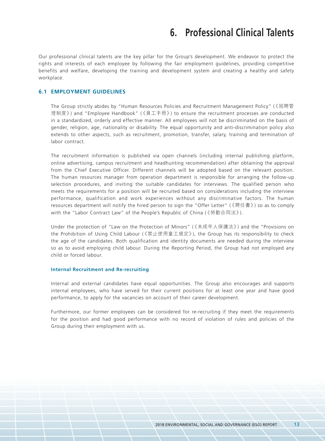## **6. Professional Clinical Talents**

Our professional clinical talents are the key pillar for the Group's development. We endeavor to protect the rights and interests of each employee by following the fair employment guidelines, providing competitive benefits and welfare, developing the training and development system and creating a healthy and safety workplace.

#### **6.1 Employment Guidelines**

The Group strictly abides by "Human Resources Policies and Recruitment Management Policy" (《招聘管 理制度》) and "Employee Handbook" (《員工手冊》) to ensure the recruitment processes are conducted in a standardized, orderly and effective manner. All employees will not be discriminated on the basis of gender, religion, age, nationality or disability. The equal opportunity and anti-discrimination policy also extends to other aspects, such as recruitment, promotion, transfer, salary, training and termination of labor contract.

The recruitment information is published via open channels (including internal publishing platform, online advertising, campus recruitment and headhunting recommendation) after obtaining the approval from the Chief Executive Officer. Different channels will be adopted based on the relevant position. The human resources manager from operation department is responsible for arranging the follow-up selection procedures, and inviting the suitable candidates for interviews. The qualified person who meets the requirements for a position will be recruited based on considerations including the interview performance, qualification and work experiences without any discriminative factors. The human resources department will notify the hired person to sign the "Offer Letter" (《聘任書》) so as to comply with the "Labor Contract Law" of the People's Republic of China (《勞動合同法》).

Under the protection of "Law on the Protection of Minors" (《未成年人保護法》) and the "Provisions on the Prohibition of Using Child Labour (《禁止使用童工規定》), the Group has its responsibility to check the age of the candidates. Both qualification and identity documents are needed during the interview so as to avoid employing child labour. During the Reporting Period, the Group had not employed any child or forced labour.

#### **Internal Recruitment and Re-recruiting**

Internal and external candidates have equal opportunities. The Group also encourages and supports internal employees, who have served for their current positions for at least one year and have good performance, to apply for the vacancies on account of their career development.

Furthermore, our former employees can be considered for re-recruiting if they meet the requirements for the position and had good performance with no record of violation of rules and policies of the Group during their employment with us.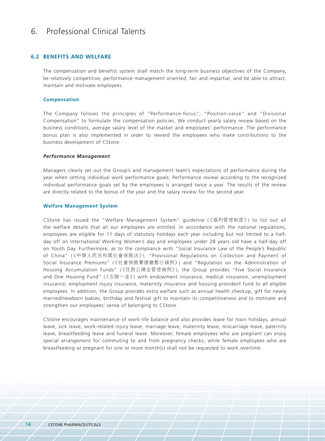### 6. Professional Clinical Talents

#### **6.2 Benefits and Welfare**

The compensation and benefits system shall match the long-term business objectives of the Company, be relatively competitive, performance management oriented, fair and impartial, and be able to attract, maintain and motivate employees.

#### **Compensation**

The Company follows the principles of "Performance-focus", "Position-value" and "Divisional Compensation" to formulate the compensation policies. We conduct yearly salary review based on the business conditions, average salary level of the market and employees' performance. The performance bonus plan is also implemented in order to reward the employees who make contributions to the business development of CStone.

#### *Performance Management*

Managers clearly set out the Group's and management team's expectations of performance during the year when setting individual work performance goals. Performance review according to the recognized individual performance goals set by the employees is arranged twice a year. The results of the review are directly related to the bonus of the year and the salary review for the second year.

#### **Welfare Management System**

CStone has issued the "Welfare Management System" guideline (《福利管理制度》) to list out all the welfare details that all our employees are entitled. In accordance with the national regulations, employees are eligible for 11 days of statutory holidays each year including but not limited to a halfday off on International Working Women's day and employees under 28 years old have a half-day off on Youth Day. Furthermore, as to the compliance with "Social Insurance Law of the People's Republic of China" (《中華人民共和國社會保險法》), "Provisional Regulations on Collection and Payment of Social Insurance Premiums" (《社會保險費徵繳暫行條例》) and "Regulation on the Administration of Housing Accumulation Funds" (《住房公積金管理條例》), the Group provides "Five Social Insurance and One Housing Fund" (《五險一金》) with endowment insurance, medical insurance, unemployment insurance, employment injury insurance, maternity insurance and housing provident fund to all eligible employees. In addition, the Group provides extra welfare such as annual health checkup, gift for newly married/newborn babies, birthday and festival gift to maintain its competitiveness and to motivate and strengthen our employees' sense of belonging to CStone.

CStone encourages maintenance of work-life balance and also provides leave for main holidays, annual leave, sick leave, work-related injury leave, marriage leave, maternity leave, miscarriage leave, paternity leave, breastfeeding leave and funeral leave. Moreover, female employees who are pregnant can enjoy special arrangement for commuting to and from pregnancy checks, while female employees who are breastfeeding or pregnant for one or more month(s) shall not be requested to work overtime.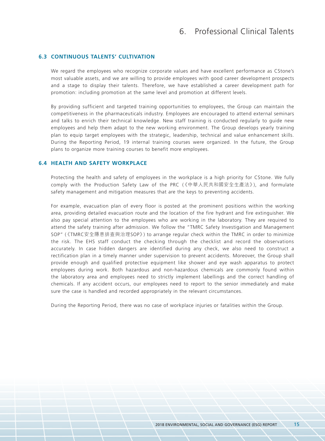### 6. Professional Clinical Talents

#### **6.3 Continuous Talents' Cultivation**

We regard the employees who recognize corporate values and have excellent performance as CStone's most valuable assets, and we are willing to provide employees with good career development prospects and a stage to display their talents. Therefore, we have established a career development path for promotion: including promotion at the same level and promotion at different levels.

By providing sufficient and targeted training opportunities to employees, the Group can maintain the competitiveness in the pharmaceuticals industry. Employees are encouraged to attend external seminars and talks to enrich their technical knowledge. New staff training is conducted regularly to guide new employees and help them adapt to the new working environment. The Group develops yearly training plan to equip target employees with the strategic, leadership, technical and value enhancement skills. During the Reporting Period, 19 internal training courses were organized. In the future, the Group plans to organize more training courses to benefit more employees.

#### **6.4 Health and Safety Workplace**

Protecting the health and safety of employees in the workplace is a high priority for CStone. We fully comply with the Production Safety Law of the PRC (《中華人民共和國安全生產法》), and formulate safety management and mitigation measures that are the keys to preventing accidents.

For example, evacuation plan of every floor is posted at the prominent positions within the working area, providing detailed evacuation route and the location of the fire hydrant and fire extinguisher. We also pay special attention to the employees who are working in the laboratory. They are required to attend the safety training after admission. We follow the "TMRC Safety Investigation and Management SOP" (《TMRC安全隱患排查與治理SOP》) to arrange regular check within the TMRC in order to minimize the risk. The EHS staff conduct the checking through the checklist and record the observations accurately. In case hidden dangers are identified during any check, we also need to construct a rectification plan in a timely manner under supervision to prevent accidents. Moreover, the Group shall provide enough and qualified protective equipment like shower and eye wash apparatus to protect employees during work. Both hazardous and non-hazardous chemicals are commonly found within the laboratory area and employees need to strictly implement labellings and the correct handling of chemicals. If any accident occurs, our employees need to report to the senior immediately and make sure the case is handled and recorded appropriately in the relevant circumstances.

During the Reporting Period, there was no case of workplace injuries or fatalities within the Group.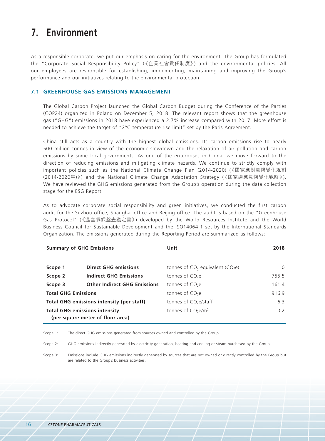## **7. Environment**

As a responsible corporate, we put our emphasis on caring for the environment. The Group has formulated the "Corporate Social Responsibility Policy" (《企業社會責任制度》) and the environmental policies. All our employees are responsible for establishing, implementing, maintaining and improving the Group's performance and our initiatives relating to the environmental protection.

#### **7.1 Greenhouse Gas Emissions Management**

The Global Carbon Project launched the Global Carbon Budget during the Conference of the Parties (COP24) organized in Poland on December 5, 2018. The relevant report shows that the greenhouse gas ("GHG") emissions in 2018 have experienced a 2.7% increase compared with 2017. More effort is needed to achieve the target of "2°C temperature rise limit" set by the Paris Agreement.

China still acts as a country with the highest global emissions. Its carbon emissions rise to nearly 500 million tonnes in view of the economic slowdown and the relaxation of air pollution and carbon emissions by some local governments. As one of the enterprises in China, we move forward to the direction of reducing emissions and mitigating climate hazards. We continue to strictly comply with important policies such as the National Climate Change Plan (2014-2020) (《國家應對氣候變化規劃 (2014-2020年)》) and the National Climate Change Adaptation Strategy (《國家適應氣候變化戰略》). We have reviewed the GHG emissions generated from the Group's operation during the data collection stage for the ESG Report.

As to advocate corporate social responsibility and green initiatives, we conducted the first carbon audit for the Suzhou office, Shanghai office and Beijing office. The audit is based on the "Greenhouse Gas Protocol" (《溫室氣候盤查議定書》) developed by the World Resources Institute and the World Business Council for Sustainable Development and the ISO14064-1 set by the International Standards Organization. The emissions generated during the Reporting Period are summarized as follows:

| <b>Summary of GHG Emissions</b>                |                                      | Unit                                  | 2018           |
|------------------------------------------------|--------------------------------------|---------------------------------------|----------------|
|                                                |                                      |                                       |                |
| Scope 1                                        | <b>Direct GHG emissions</b>          | tonnes of $CO2$ equivalent ( $CO2e$ ) | $\Omega$       |
| <b>Indirect GHG Emissions</b><br>Scope 2       |                                      | tonnes of $CO2e$                      | 755.5          |
| <b>Other Indirect GHG Emissions</b><br>Scope 3 |                                      | tonnes of $CO2e$                      | 161.4          |
| <b>Total GHG Emissions</b>                     |                                      | tonnes of $CO2e$                      | 916.9          |
| Total GHG emissions intensity (per staff)      |                                      | tonnes of CO <sub>2</sub> e/staff     | 6.3            |
|                                                | <b>Total GHG emissions intensity</b> | tonnes of $CO2e/m2$                   | 0 <sub>2</sub> |
|                                                | (per square meter of floor area)     |                                       |                |

Scope 1: The direct GHG emissions generated from sources owned and controlled by the Group.

Scope 2: GHG emissions indirectly generated by electricity generation, heating and cooling or steam purchased by the Group.

Scope 3: Emissions include GHG emissions indirectly generated by sources that are not owned or directly controlled by the Group but are related to the Group's business activities.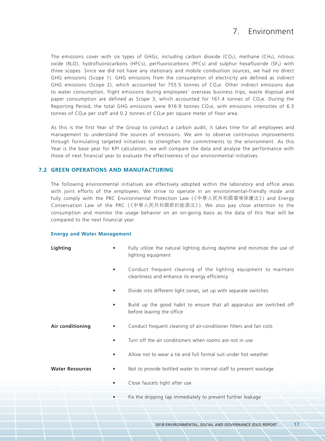### 7. Environment

The emissions cover with six types of GHGs, including carbon dioxide (CO<sub>2</sub>), methane (CH<sub>4</sub>), nitrous oxide (N<sub>2</sub>O), hydrofluorocarbons (HFCs), perfluorocarbons (PFCs) and sulphur hexafluoride (SF<sub>6</sub>) with three scopes. Since we did not have any stationary and mobile combustion sources, we had no direct GHG emissions (Scope 1). GHG emissions from the consumption of electricity are defined as indirect GHG emissions (Scope 2), which accounted for 755.5 tonnes of  $CO<sub>2</sub>e$ . Other indirect emissions due to water consumption, flight emissions during employees' overseas business trips, waste disposal and paper consumption are defined as Scope 3, which accounted for 161.4 tonnes of  $CO<sub>2</sub>e$ . During the Reporting Period, the total GHG emissions were 916.9 tonnes CO<sub>2</sub>e, with emissions intensities of 6.3 tonnes of CO<sub>2</sub>e per staff and 0.2 tonnes of CO<sub>2</sub>e per square meter of floor area.

As this is the first Year of the Group to conduct a carbon audit, it takes time for all employees and management to understand the sources of emissions. We aim to observe continuous improvements through formulating targeted initiatives to strengthen the commitments to the environment. As this Year is the base year for KPI calculation, we will compare the data and analyse the performance with those of next financial year to evaluate the effectiveness of our environmental initiatives.

#### **7.2 Green Operations and Manufacturing**

The following environmental initiatives are effectively adopted within the laboratory and office areas with joint efforts of the employees. We strive to operate in an environmental-friendly mode and fully comply with the PRC Environmental Protection Law (《中華人民共和國環境保護法》) and Energy Conservation Law of the PRC (《中華人民共和國節約能源法》). We also pay close attention to the consumption and monitor the usage behavior on an on-going basis as the data of this Year will be compared to the next financial year.

#### **Energy and Water Management**

| Lighting | Fully utilize the natural lighting during daytime and minimize the use of |
|----------|---------------------------------------------------------------------------|
|          | lighting equipment                                                        |
|          |                                                                           |

- Conduct frequent cleaning of the lighting equipment to maintain cleanliness and enhance its energy efficiency
- Divide into different light zones, set up with separate switches
- Build up the good habit to ensure that all apparatus are switched off before leaving the office
- 
- **Air conditioning** Conduct frequent cleaning of air-conditioner filters and fan coils
	- Turn off the air conditioners when rooms are not in use
	- Allow not to wear a tie and full formal suit under hot weather
- 
- **Water Resources** Not to provide bottled water to internal staff to prevent wastage
	- Close faucets tight after use
		- Fix the dripping tap immediately to prevent further leakage

2018 ENVIRONMENTAL, SOCIAL AND GOVERNANCE (ESG) REPORT 17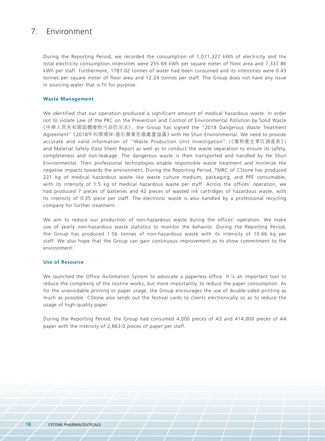### 7. Environment

During the Reporting Period, we recorded the consumption of 1,071,327 kWh of electricity and the total electricity consumption intensities were 255.69 kWh per square meter of floor area and 7,337.86 kWh per staff. Furthermore, 1787.02 tonnes of water had been consumed and its intensities were 0.43 tonnes per square meter of floor area and 12.24 tonnes per staff. The Group does not have any issue in sourcing water that is fit for purpose.

#### **Waste Management**

We identified that our operation produced a significant amount of medical hazardous waste. In order not to violate Law of the PRC on the Prevention and Control of Environmental Pollution by Solid Waste 《中華人民共和國固體廢物污染防治法》, the Group has signed the "2018 Dangerous Waste Treatment Agreement" 《2018年和順環保-基石藥業危廢處置協議》 with He Shun Environmental. We need to provide accurate and valid information of "Waste Production Unit Investigation" (《廢物產生單位調查表》) and Material Safety Data Sheet Report as well as to conduct the waste separation to ensure its safety, completeness and non-leakage. The dangerous waste is then transported and handled by He Shun Environmental. Their professional technologies enable responsible waste treatment and minimize the negative impacts towards the environment. During the Reporting Period, TMRC of CStone has produced 221 kg of medical hazardous waste like waste culture medium, packaging, and PPE consumable, with its intensity of 1.5 kg of medical hazardous waste per staff. Across the offices' operation, we had produced 7 pieces of batteries and 42 pieces of wasted ink cartridges of hazardous waste, with its intensity of 0.35 piece per staff. The electronic waste is also handled by a professional recycling company for further treatment.

We aim to reduce our production of non-hazardous waste during the offices' operation. We make use of yearly non-hazardous waste statistics to monitor the behavior. During the Reporting Period, the Group has produced 1.56 tonnes of non-hazardous waste with its intensity of 10.66 kg per staff. We also hope that the Group can gain continuous improvement as to show commitment to the environment.

#### **Use of Resource**

We launched the Office Automation System to advocate a paperless office. It is an important tool to reduce the complexity of the routine works, but more importantly, to reduce the paper consumption. As for the unavoidable printing or paper usage, the Group encourages the use of double-sided printing as much as possible. CStone also sends out the festival cards to clients electronically so as to reduce the usage of high-quality paper.

During the Reporting Period, the Group had consumed 4,000 pieces of A3 and 414,000 pieces of A4 paper with the intensity of 2,863.0 pieces of paper per staff.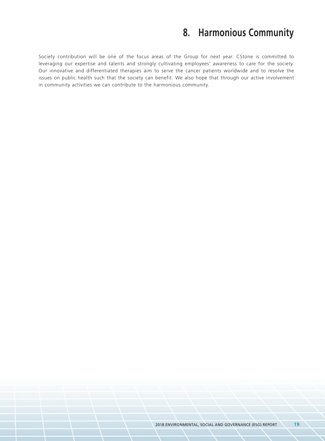## **8. Harmonious Community**

Society contribution will be one of the focus areas of the Group for next year. CStone is committed to leveraging our expertise and talents and strongly cultivating employees' awareness to care for the society. Our innovative and differentiated therapies aim to serve the cancer patients worldwide and to resolve the issues on public health such that the society can benefit. We also hope that through our active involvement in community activities we can contribute to the harmonious community.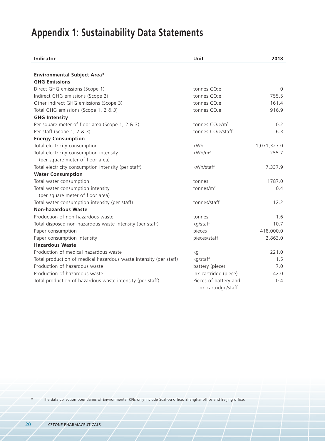# **Appendix 1: Sustainability Data Statements**

| <b>Indicator</b>                                                  | Unit                                         | 2018        |
|-------------------------------------------------------------------|----------------------------------------------|-------------|
|                                                                   |                                              |             |
| <b>Environmental Subject Area*</b>                                |                                              |             |
| <b>GHG Emissions</b>                                              |                                              |             |
| Direct GHG emissions (Scope 1)                                    | tonnes CO <sub>2</sub> e                     | $\Omega$    |
| Indirect GHG emissions (Scope 2)                                  | tonnes CO <sub>2</sub> e                     | 755.5       |
| Other indirect GHG emissions (Scope 3)                            | tonnes CO <sub>2</sub> e                     | 161.4       |
| Total GHG emissions (Scope 1, 2 & 3)                              | tonnes CO <sub>2</sub> e                     | 916.9       |
| <b>GHG Intensity</b>                                              |                                              |             |
| Per square meter of floor area (Scope 1, 2 & 3)                   | tonnes CO <sub>2</sub> e/m <sup>2</sup>      | 0.2         |
| Per staff (Scope 1, 2 & 3)                                        | tonnes CO <sub>2</sub> e/staff               | 6.3         |
| <b>Energy Consumption</b>                                         |                                              |             |
| Total electricity consumption                                     | kWh                                          | 1,071,327.0 |
| Total electricity consumption intensity                           | kWh/m <sup>2</sup>                           | 255.7       |
| (per square meter of floor area)                                  |                                              |             |
| Total electricity consumption intensity (per staff)               | kWh/staff                                    | 7,337.9     |
| <b>Water Consumption</b>                                          |                                              |             |
| Total water consumption                                           | tonnes                                       | 1787.0      |
| Total water consumption intensity                                 | tonnes/m <sup>2</sup>                        | 0.4         |
| (per square meter of floor area)                                  |                                              |             |
| Total water consumption intensity (per staff)                     | tonnes/staff                                 | 12.2        |
| <b>Non-hazardous Waste</b>                                        |                                              |             |
| Production of non-hazardous waste                                 | tonnes                                       | 1.6         |
| Total disposed non-hazardous waste intensity (per staff)          | kg/staff                                     | 10.7        |
| Paper consumption                                                 | pieces                                       | 418,000.0   |
| Paper consumption intensity                                       | pieces/staff                                 | 2,863.0     |
| <b>Hazardous Waste</b>                                            |                                              |             |
| Production of medical hazardous waste                             | kg                                           | 221.0       |
| Total production of medical hazardous waste intensity (per staff) | kg/staff                                     | 1.5         |
| Production of hazardous waste                                     | battery (piece)                              | 7.0         |
| Production of hazardous waste                                     | ink cartridge (piece)                        | 42.0        |
| Total production of hazardous waste intensity (per staff)         | Pieces of battery and<br>ink cartridge/staff | 0.4         |

The data collection boundaries of Environmental KPIs only include Suzhou office, Shanghai office and Beijing office.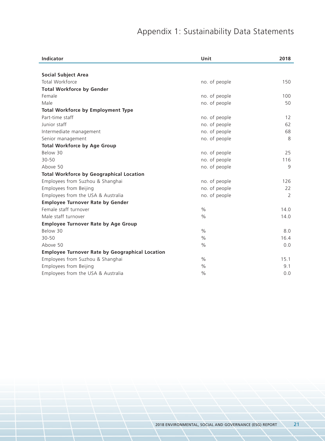# Appendix 1: Sustainability Data Statements

| <b>Indicator</b>                                       | Unit          | 2018              |
|--------------------------------------------------------|---------------|-------------------|
|                                                        |               |                   |
| <b>Social Subject Area</b>                             |               |                   |
| Total Workforce                                        | no. of people | 150               |
| <b>Total Workforce by Gender</b>                       |               |                   |
| Female                                                 | no. of people | 100               |
| Male                                                   | no. of people | 50                |
| <b>Total Workforce by Employment Type</b>              |               |                   |
| Part-time staff                                        | no. of people | $12 \overline{ }$ |
| Junior staff                                           | no. of people | 62                |
| Intermediate management                                | no. of people | 68                |
| Senior management                                      | no. of people | 8                 |
| <b>Total Workforce by Age Group</b>                    |               |                   |
| Below 30                                               | no. of people | 25                |
| $30 - 50$                                              | no. of people | 116               |
| Above 50                                               | no. of people | 9                 |
| <b>Total Workforce by Geographical Location</b>        |               |                   |
| Employees from Suzhou & Shanghai                       | no. of people | 126               |
| Employees from Beijing                                 | no. of people | 22                |
| Employees from the USA & Australia                     | no. of people | 2                 |
| <b>Employee Turnover Rate by Gender</b>                |               |                   |
| Female staff turnover                                  | $\%$          | 14.0              |
| Male staff turnover                                    | $\frac{0}{0}$ | 14.0              |
| <b>Employee Turnover Rate by Age Group</b>             |               |                   |
| Below 30                                               | $\%$          | 8.0               |
| $30 - 50$                                              | $\frac{0}{0}$ | 16.4              |
| Above 50                                               | $\%$          | 0.0               |
| <b>Employee Turnover Rate by Geographical Location</b> |               |                   |
| Employees from Suzhou & Shanghai                       | $\frac{0}{0}$ | 15.1              |
| Employees from Beijing                                 | $\%$          | 9.1               |
| Employees from the USA & Australia                     | $\%$          | 0.0               |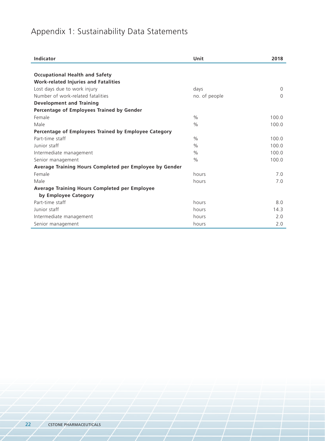# Appendix 1: Sustainability Data Statements

| Indicator                                               | Unit          | 2018     |
|---------------------------------------------------------|---------------|----------|
|                                                         |               |          |
| <b>Occupational Health and Safety</b>                   |               |          |
| <b>Work-related Injuries and Fatalities</b>             |               |          |
| Lost days due to work injury                            | days          | $\Omega$ |
| Number of work-related fatalities                       | no. of people | $\Omega$ |
| <b>Development and Training</b>                         |               |          |
| Percentage of Employees Trained by Gender               |               |          |
| Female                                                  | $\frac{0}{0}$ | 100.0    |
| Male                                                    | $\frac{0}{0}$ | 100.0    |
| Percentage of Employees Trained by Employee Category    |               |          |
| Part-time staff                                         | $\frac{0}{0}$ | 100.0    |
| Junior staff                                            | $\frac{0}{0}$ | 100.0    |
| Intermediate management                                 | $\frac{0}{0}$ | 100.0    |
| Senior management                                       | $\frac{0}{0}$ | 100.0    |
| Average Training Hours Completed per Employee by Gender |               |          |
| Female                                                  | hours         | 7.0      |
| Male                                                    | hours         | 7.0      |
| <b>Average Training Hours Completed per Employee</b>    |               |          |
| by Employee Category                                    |               |          |
| Part-time staff                                         | hours         | 8.0      |
| Junior staff                                            | hours         | 14.3     |
| Intermediate management                                 | hours         | 2.0      |
| Senior management                                       | hours         | 2.0      |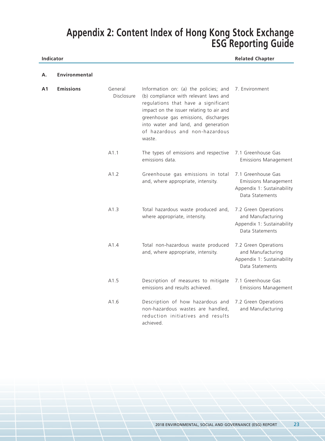**Indicator Related Chapter**

| Α. | Environmental |  |
|----|---------------|--|
|    |               |  |

| Α1 | <b>Emissions</b> | General<br>Disclosure | Information on: (a) the policies; and<br>(b) compliance with relevant laws and<br>regulations that have a significant<br>impact on the issuer relating to air and<br>greenhouse gas emissions, discharges<br>into water and land, and generation<br>of hazardous and non-hazardous<br>waste. | 7. Environment                                                                                     |
|----|------------------|-----------------------|----------------------------------------------------------------------------------------------------------------------------------------------------------------------------------------------------------------------------------------------------------------------------------------------|----------------------------------------------------------------------------------------------------|
|    |                  | A1.1                  | The types of emissions and respective<br>emissions data.                                                                                                                                                                                                                                     | 7.1 Greenhouse Gas<br><b>Emissions Management</b>                                                  |
|    |                  | A1.2                  | Greenhouse gas emissions in total<br>and, where appropriate, intensity.                                                                                                                                                                                                                      | 7.1 Greenhouse Gas<br><b>Emissions Management</b><br>Appendix 1: Sustainability<br>Data Statements |
|    |                  | A1.3                  | Total hazardous waste produced and,<br>where appropriate, intensity.                                                                                                                                                                                                                         | 7.2 Green Operations<br>and Manufacturing<br>Appendix 1: Sustainability<br>Data Statements         |
|    |                  | A1.4                  | Total non-hazardous waste produced<br>and, where appropriate, intensity.                                                                                                                                                                                                                     | 7.2 Green Operations<br>and Manufacturing<br>Appendix 1: Sustainability<br>Data Statements         |
|    |                  | A1.5                  | Description of measures to mitigate<br>emissions and results achieved.                                                                                                                                                                                                                       | 7.1 Greenhouse Gas<br><b>Emissions Management</b>                                                  |
|    |                  | A1.6                  | Description of how hazardous and<br>non-hazardous wastes are handled,<br>reduction initiatives and results<br>achieved.                                                                                                                                                                      | 7.2 Green Operations<br>and Manufacturing                                                          |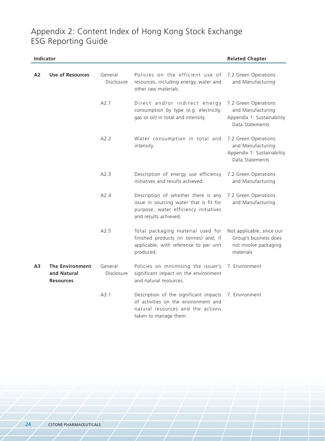| Indicator |                                                           |                       |                                                                                                                                                  | <b>Related Chapter</b>                                                                     |
|-----------|-----------------------------------------------------------|-----------------------|--------------------------------------------------------------------------------------------------------------------------------------------------|--------------------------------------------------------------------------------------------|
| A2        | <b>Use of Resources</b>                                   | General<br>Disclosure | Policies on the efficient use of<br>resources, including energy, water and<br>other raw materials.                                               | 7.2 Green Operations<br>and Manufacturing                                                  |
|           |                                                           | A2.1                  | Direct and/or indirect energy<br>consumption by type (e.g. electricity,<br>gas or oil) in total and intensity.                                   | 7.2 Green Operations<br>and Manufacturing<br>Appendix 1: Sustainability<br>Data Statements |
|           |                                                           | A2.2                  | Water consumption in total and<br>intensity.                                                                                                     | 7.2 Green Operations<br>and Manufacturing<br>Appendix 1: Sustainability<br>Data Statements |
|           |                                                           | A2.3                  | Description of energy use efficiency<br>initiatives and results achieved.                                                                        | 7.2 Green Operations<br>and Manufacturing                                                  |
|           |                                                           | A24                   | Description of whether there is any<br>issue in sourcing water that is fit for<br>purpose, water efficiency initiatives<br>and results achieved. | 7.2 Green Operations<br>and Manufacturing                                                  |
|           |                                                           | A2.5                  | Total packaging material used for<br>finished products (in tonnes) and, if<br>applicable, with reference to per unit<br>produced.                | Not applicable, since our<br>Group's business does<br>not involve packaging<br>materials   |
| Α3        | <b>The Environment</b><br>and Natural<br><b>Resources</b> | General<br>Disclosure | Policies on minimising the issuer's<br>significant impact on the environment<br>and natural resources.                                           | 7. Environment                                                                             |
|           |                                                           | A3.1                  | Description of the significant impacts<br>of activities on the environment and<br>natural resources and the actions<br>taken to manage them.     | 7. Environment                                                                             |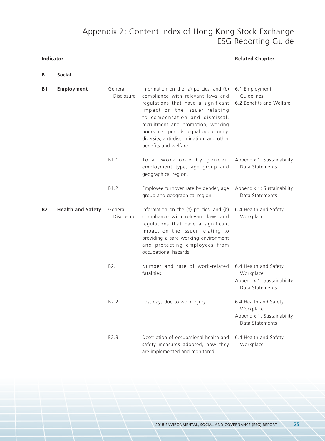| Indicator |                          |                       | <b>Related Chapter</b>                                                                                                                                                                                                                                                                                                                         |                                                                                     |
|-----------|--------------------------|-----------------------|------------------------------------------------------------------------------------------------------------------------------------------------------------------------------------------------------------------------------------------------------------------------------------------------------------------------------------------------|-------------------------------------------------------------------------------------|
| В.        | <b>Social</b>            |                       |                                                                                                                                                                                                                                                                                                                                                |                                                                                     |
| <b>B1</b> | Employment               | General<br>Disclosure | Information on the (a) policies; and (b)<br>compliance with relevant laws and<br>regulations that have a significant<br>impact on the issuer relating<br>to compensation and dismissal,<br>recruitment and promotion, working<br>hours, rest periods, equal opportunity,<br>diversity, anti-discrimination, and other<br>benefits and welfare. | 6.1 Employment<br>Guidelines<br>6.2 Benefits and Welfare                            |
|           |                          | B <sub>1.1</sub>      | Total workforce by gender,<br>employment type, age group and<br>geographical region.                                                                                                                                                                                                                                                           | Appendix 1: Sustainability<br>Data Statements                                       |
|           |                          | B1.2                  | Employee turnover rate by gender, age<br>group and geographical region.                                                                                                                                                                                                                                                                        | Appendix 1: Sustainability<br>Data Statements                                       |
| <b>B2</b> | <b>Health and Safety</b> | General<br>Disclosure | Information on the (a) policies; and (b)<br>compliance with relevant laws and<br>regulations that have a significant<br>impact on the issuer relating to<br>providing a safe working environment<br>and protecting employees from<br>occupational hazards.                                                                                     | 6.4 Health and Safety<br>Workplace                                                  |
|           |                          | B2.1                  | Number and rate of work-related<br>fatalities.                                                                                                                                                                                                                                                                                                 | 6.4 Health and Safety<br>Workplace<br>Appendix 1: Sustainability<br>Data Statements |
|           |                          | B <sub>2.2</sub>      | Lost days due to work injury.                                                                                                                                                                                                                                                                                                                  | 6.4 Health and Safety<br>Workplace<br>Appendix 1: Sustainability<br>Data Statements |
|           |                          | B2.3                  | Description of occupational health and<br>safety measures adopted, how they<br>are implemented and monitored.                                                                                                                                                                                                                                  | 6.4 Health and Safety<br>Workplace                                                  |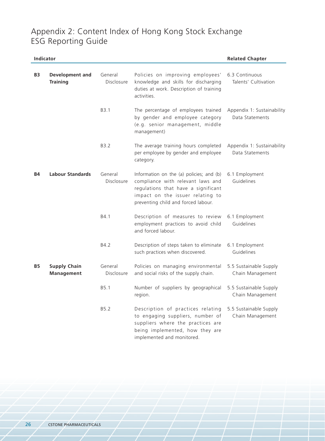|           | Indicator                                |                       |                                                                                                                                                                                                 | <b>Related Chapter</b>                        |
|-----------|------------------------------------------|-----------------------|-------------------------------------------------------------------------------------------------------------------------------------------------------------------------------------------------|-----------------------------------------------|
| <b>B3</b> | Development and<br><b>Training</b>       | General<br>Disclosure | Policies on improving employees'<br>knowledge and skills for discharging<br>duties at work. Description of training<br>activities.                                                              | 6.3 Continuous<br>Talents' Cultivation        |
|           |                                          | B <sub>3.1</sub>      | The percentage of employees trained<br>by gender and employee category<br>(e.g. senior management, middle<br>management)                                                                        | Appendix 1: Sustainability<br>Data Statements |
|           |                                          | B3.2                  | The average training hours completed<br>per employee by gender and employee<br>category.                                                                                                        | Appendix 1: Sustainability<br>Data Statements |
| <b>B4</b> | <b>Labour Standards</b>                  | General<br>Disclosure | Information on the (a) policies; and (b)<br>compliance with relevant laws and<br>regulations that have a significant<br>impact on the issuer relating to<br>preventing child and forced labour. | 6.1 Employment<br>Guidelines                  |
|           |                                          | B4.1                  | Description of measures to review<br>employment practices to avoid child<br>and forced labour.                                                                                                  | 6.1 Employment<br>Guidelines                  |
|           |                                          | B4.2                  | Description of steps taken to eliminate<br>such practices when discovered.                                                                                                                      | 6.1 Employment<br>Guidelines                  |
| <b>B5</b> | <b>Supply Chain</b><br><b>Management</b> | General<br>Disclosure | Policies on managing environmental<br>and social risks of the supply chain.                                                                                                                     | 5.5 Sustainable Supply<br>Chain Management    |
|           |                                          | B5.1                  | Number of suppliers by geographical<br>region.                                                                                                                                                  | 5.5 Sustainable Supply<br>Chain Management    |
|           |                                          | B5.2                  | Description of practices relating<br>to engaging suppliers, number of<br>suppliers where the practices are<br>being implemented, how they are<br>implemented and monitored.                     | 5.5 Sustainable Supply<br>Chain Management    |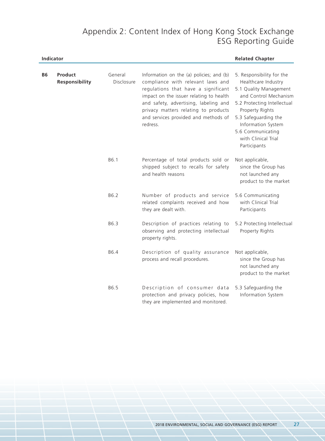|           | Indicator                 |                       |                                                                                                                                                                                                                                                                                                      | <b>Related Chapter</b>                                                                                                                                                                                                                                          |
|-----------|---------------------------|-----------------------|------------------------------------------------------------------------------------------------------------------------------------------------------------------------------------------------------------------------------------------------------------------------------------------------------|-----------------------------------------------------------------------------------------------------------------------------------------------------------------------------------------------------------------------------------------------------------------|
| <b>B6</b> | Product<br>Responsibility | General<br>Disclosure | Information on the (a) policies; and (b)<br>compliance with relevant laws and<br>regulations that have a significant<br>impact on the issuer relating to health<br>and safety, advertising, labeling and<br>privacy matters relating to products<br>and services provided and methods of<br>redress. | 5. Responsibility for the<br>Healthcare Industry<br>5.1 Quality Management<br>and Control Mechanism<br>5.2 Protecting Intellectual<br>Property Rights<br>5.3 Safeguarding the<br>Information System<br>5.6 Communicating<br>with Clinical Trial<br>Participants |
|           |                           | B6.1                  | Percentage of total products sold or<br>shipped subject to recalls for safety<br>and health reasons                                                                                                                                                                                                  | Not applicable,<br>since the Group has<br>not launched any<br>product to the market                                                                                                                                                                             |
|           |                           | B6.2                  | Number of products and service<br>related complaints received and how<br>they are dealt with.                                                                                                                                                                                                        | 5.6 Communicating<br>with Clinical Trial<br>Participants                                                                                                                                                                                                        |
|           |                           | B6.3                  | Description of practices relating to<br>observing and protecting intellectual<br>property rights.                                                                                                                                                                                                    | 5.2 Protecting Intellectual<br>Property Rights                                                                                                                                                                                                                  |
|           |                           | B6.4                  | Description of quality assurance<br>process and recall procedures.                                                                                                                                                                                                                                   | Not applicable,<br>since the Group has<br>not launched any<br>product to the market                                                                                                                                                                             |
|           |                           | B6.5                  | Description of consumer data<br>protection and privacy policies, how<br>they are implemented and monitored.                                                                                                                                                                                          | 5.3 Safeguarding the<br>Information System                                                                                                                                                                                                                      |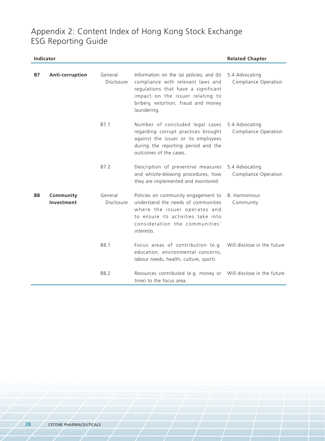| Indicator |                         |                       | <b>Related Chapter</b>                                                                                                                                                                                         |                                        |
|-----------|-------------------------|-----------------------|----------------------------------------------------------------------------------------------------------------------------------------------------------------------------------------------------------------|----------------------------------------|
| <b>B7</b> | Anti-corruption         | General<br>Disclosure | Information on the (a) policies; and (b)<br>compliance with relevant laws and<br>regulations that have a significant<br>impact on the issuer relating to<br>bribery, extortion, fraud and money<br>laundering. | 5.4 Advocating<br>Compliance Operation |
|           |                         | B7.1                  | Number of concluded legal cases<br>regarding corrupt practices brought<br>against the issuer or its employees<br>during the reporting period and the<br>outcomes of the cases.                                 | 5.4 Advocating<br>Compliance Operation |
|           |                         | B7.2                  | Description of preventive measures<br>and whistle-blowing procedures, how<br>they are implemented and monitored.                                                                                               | 5.4 Advocating<br>Compliance Operation |
| <b>B8</b> | Community<br>Investment | General<br>Disclosure | Policies on community engagement to<br>understand the needs of communities<br>where the issuer operates and<br>to ensure its activities take into<br>consideration the communities'<br>interests.              | 8. Harmonious<br>Community             |
|           |                         | B8.1                  | Focus areas of contribution (e.g.<br>education, environmental concerns,<br>labour needs, health, culture, sport).                                                                                              | Will disclose in the future            |
|           |                         | B8.2                  | Resources contributed (e.g. money or<br>time) to the focus area.                                                                                                                                               | Will disclose in the future            |